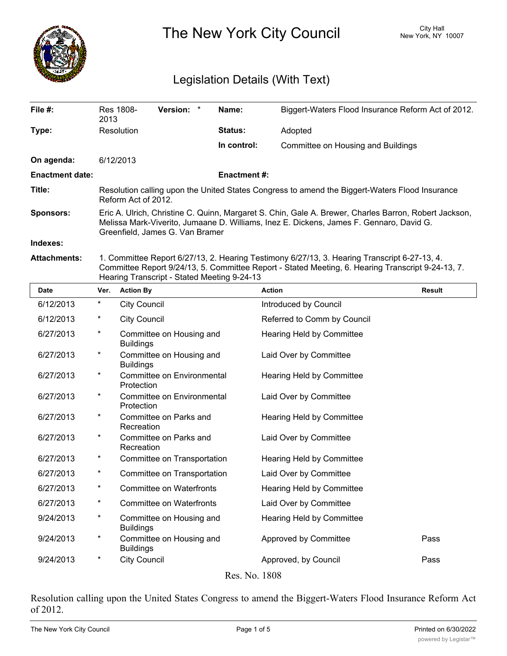

The New York City Council New York, NY 10007

## Legislation Details (With Text)

| File $#$ :             | Res 1808-<br>2013                                                                                                                                                                                                                   | <b>Version:</b> |  | Name:              | Biggert-Waters Flood Insurance Reform Act of 2012. |  |
|------------------------|-------------------------------------------------------------------------------------------------------------------------------------------------------------------------------------------------------------------------------------|-----------------|--|--------------------|----------------------------------------------------|--|
| Type:                  | <b>Resolution</b>                                                                                                                                                                                                                   |                 |  | <b>Status:</b>     | Adopted                                            |  |
|                        |                                                                                                                                                                                                                                     |                 |  | In control:        | Committee on Housing and Buildings                 |  |
| On agenda:             | 6/12/2013                                                                                                                                                                                                                           |                 |  |                    |                                                    |  |
| <b>Enactment date:</b> |                                                                                                                                                                                                                                     |                 |  | <b>Enactment#:</b> |                                                    |  |
| Title:                 | Resolution calling upon the United States Congress to amend the Biggert-Waters Flood Insurance<br>Reform Act of 2012.                                                                                                               |                 |  |                    |                                                    |  |
| <b>Sponsors:</b>       | Eric A. Ulrich, Christine C. Quinn, Margaret S. Chin, Gale A. Brewer, Charles Barron, Robert Jackson,<br>Melissa Mark-Viverito, Jumaane D. Williams, Inez E. Dickens, James F. Gennaro, David G.<br>Greenfield, James G. Van Bramer |                 |  |                    |                                                    |  |
| Indexes:               |                                                                                                                                                                                                                                     |                 |  |                    |                                                    |  |
| Attachmonte:           | 1. Committee Report 6/97/13, 2. Hearing Testimony 6/97/13, 3. Hearing Transcript 6, 97, 13, 4                                                                                                                                       |                 |  |                    |                                                    |  |

**Attachments:** 1. Committee Report 6/27/13, 2. Hearing Testimony 6/27/13, 3. Hearing Transcript 6-27-13, 4. Committee Report 9/24/13, 5. Committee Report - Stated Meeting, 6. Hearing Transcript 9-24-13, 7. Hearing Transcript - Stated Meeting 9-24-13

| <b>Date</b>      | Ver.     | <b>Action By</b>                             | <b>Action</b>               | <b>Result</b> |  |  |  |
|------------------|----------|----------------------------------------------|-----------------------------|---------------|--|--|--|
| 6/12/2013        | $^\star$ | <b>City Council</b>                          | Introduced by Council       |               |  |  |  |
| 6/12/2013        | $^\ast$  | <b>City Council</b>                          | Referred to Comm by Council |               |  |  |  |
| 6/27/2013        | $\star$  | Committee on Housing and<br><b>Buildings</b> | Hearing Held by Committee   |               |  |  |  |
| 6/27/2013        | $^\ast$  | Committee on Housing and<br><b>Buildings</b> | Laid Over by Committee      |               |  |  |  |
| 6/27/2013        | $^\ast$  | Committee on Environmental<br>Protection     | Hearing Held by Committee   |               |  |  |  |
| 6/27/2013        | $^\star$ | Committee on Environmental<br>Protection     | Laid Over by Committee      |               |  |  |  |
| 6/27/2013        | $\star$  | Committee on Parks and<br>Recreation         | Hearing Held by Committee   |               |  |  |  |
| 6/27/2013        | $\star$  | Committee on Parks and<br>Recreation         | Laid Over by Committee      |               |  |  |  |
| 6/27/2013        | $^\star$ | Committee on Transportation                  | Hearing Held by Committee   |               |  |  |  |
| 6/27/2013        | $\star$  | Committee on Transportation                  | Laid Over by Committee      |               |  |  |  |
| 6/27/2013        | $\star$  | <b>Committee on Waterfronts</b>              | Hearing Held by Committee   |               |  |  |  |
| 6/27/2013        | $^\ast$  | Committee on Waterfronts                     | Laid Over by Committee      |               |  |  |  |
| 9/24/2013        | $\star$  | Committee on Housing and<br><b>Buildings</b> | Hearing Held by Committee   |               |  |  |  |
| 9/24/2013        | $^\ast$  | Committee on Housing and<br><b>Buildings</b> | Approved by Committee       | Pass          |  |  |  |
| 9/24/2013        | $^\ast$  | <b>City Council</b>                          | Approved, by Council        | Pass          |  |  |  |
| <u>חחחו זו</u> ת |          |                                              |                             |               |  |  |  |

Res. No. 1808

Resolution calling upon the United States Congress to amend the Biggert-Waters Flood Insurance Reform Act of 2012.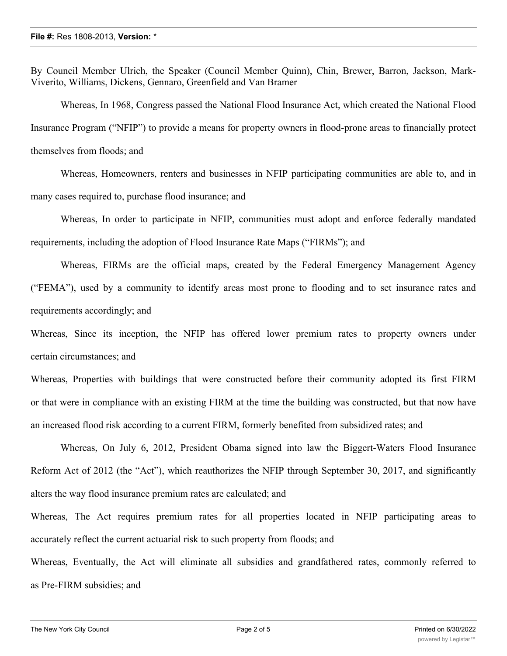By Council Member Ulrich, the Speaker (Council Member Quinn), Chin, Brewer, Barron, Jackson, Mark-Viverito, Williams, Dickens, Gennaro, Greenfield and Van Bramer

Whereas, In 1968, Congress passed the National Flood Insurance Act, which created the National Flood Insurance Program ("NFIP") to provide a means for property owners in flood-prone areas to financially protect themselves from floods; and

Whereas, Homeowners, renters and businesses in NFIP participating communities are able to, and in many cases required to, purchase flood insurance; and

Whereas, In order to participate in NFIP, communities must adopt and enforce federally mandated requirements, including the adoption of Flood Insurance Rate Maps ("FIRMs"); and

Whereas, FIRMs are the official maps, created by the Federal Emergency Management Agency ("FEMA"), used by a community to identify areas most prone to flooding and to set insurance rates and requirements accordingly; and

Whereas, Since its inception, the NFIP has offered lower premium rates to property owners under certain circumstances; and

Whereas, Properties with buildings that were constructed before their community adopted its first FIRM or that were in compliance with an existing FIRM at the time the building was constructed, but that now have an increased flood risk according to a current FIRM, formerly benefited from subsidized rates; and

Whereas, On July 6, 2012, President Obama signed into law the Biggert-Waters Flood Insurance Reform Act of 2012 (the "Act"), which reauthorizes the NFIP through September 30, 2017, and significantly alters the way flood insurance premium rates are calculated; and

Whereas, The Act requires premium rates for all properties located in NFIP participating areas to accurately reflect the current actuarial risk to such property from floods; and

Whereas, Eventually, the Act will eliminate all subsidies and grandfathered rates, commonly referred to as Pre-FIRM subsidies; and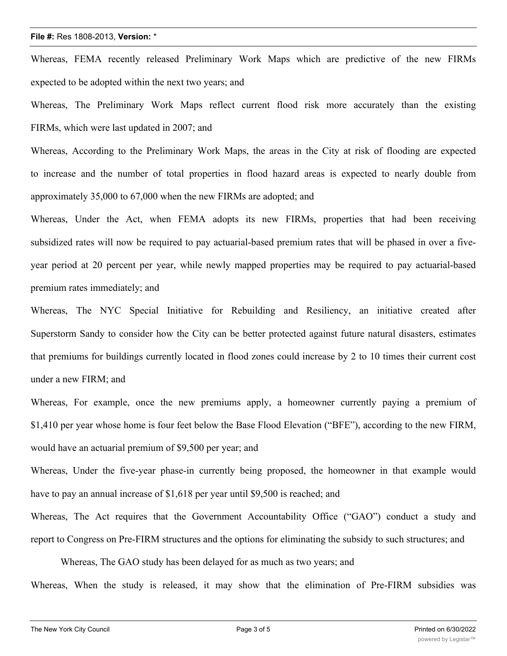## **File #:** Res 1808-2013, **Version:** \*

Whereas, FEMA recently released Preliminary Work Maps which are predictive of the new FIRMs expected to be adopted within the next two years; and

Whereas, The Preliminary Work Maps reflect current flood risk more accurately than the existing FIRMs, which were last updated in 2007; and

Whereas, According to the Preliminary Work Maps, the areas in the City at risk of flooding are expected to increase and the number of total properties in flood hazard areas is expected to nearly double from approximately 35,000 to 67,000 when the new FIRMs are adopted; and

Whereas, Under the Act, when FEMA adopts its new FIRMs, properties that had been receiving subsidized rates will now be required to pay actuarial-based premium rates that will be phased in over a fiveyear period at 20 percent per year, while newly mapped properties may be required to pay actuarial-based premium rates immediately; and

Whereas, The NYC Special Initiative for Rebuilding and Resiliency, an initiative created after Superstorm Sandy to consider how the City can be better protected against future natural disasters, estimates that premiums for buildings currently located in flood zones could increase by 2 to 10 times their current cost under a new FIRM; and

Whereas, For example, once the new premiums apply, a homeowner currently paying a premium of \$1,410 per year whose home is four feet below the Base Flood Elevation ("BFE"), according to the new FIRM, would have an actuarial premium of \$9,500 per year; and

Whereas, Under the five-year phase-in currently being proposed, the homeowner in that example would have to pay an annual increase of \$1,618 per year until \$9,500 is reached; and

Whereas, The Act requires that the Government Accountability Office ("GAO") conduct a study and report to Congress on Pre-FIRM structures and the options for eliminating the subsidy to such structures; and

Whereas, The GAO study has been delayed for as much as two years; and

Whereas, When the study is released, it may show that the elimination of Pre-FIRM subsidies was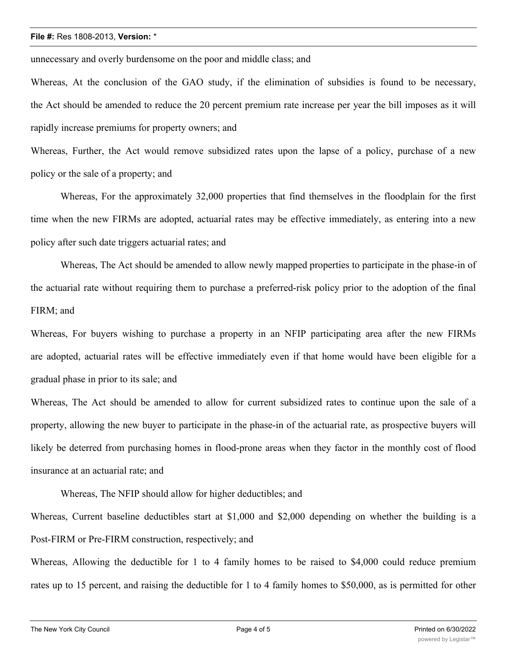## **File #:** Res 1808-2013, **Version:** \*

unnecessary and overly burdensome on the poor and middle class; and

Whereas, At the conclusion of the GAO study, if the elimination of subsidies is found to be necessary, the Act should be amended to reduce the 20 percent premium rate increase per year the bill imposes as it will rapidly increase premiums for property owners; and

Whereas, Further, the Act would remove subsidized rates upon the lapse of a policy, purchase of a new policy or the sale of a property; and

Whereas, For the approximately 32,000 properties that find themselves in the floodplain for the first time when the new FIRMs are adopted, actuarial rates may be effective immediately, as entering into a new policy after such date triggers actuarial rates; and

Whereas, The Act should be amended to allow newly mapped properties to participate in the phase-in of the actuarial rate without requiring them to purchase a preferred-risk policy prior to the adoption of the final FIRM; and

Whereas, For buyers wishing to purchase a property in an NFIP participating area after the new FIRMs are adopted, actuarial rates will be effective immediately even if that home would have been eligible for a gradual phase in prior to its sale; and

Whereas, The Act should be amended to allow for current subsidized rates to continue upon the sale of a property, allowing the new buyer to participate in the phase-in of the actuarial rate, as prospective buyers will likely be deterred from purchasing homes in flood-prone areas when they factor in the monthly cost of flood insurance at an actuarial rate; and

Whereas, The NFIP should allow for higher deductibles; and

Whereas, Current baseline deductibles start at \$1,000 and \$2,000 depending on whether the building is a Post-FIRM or Pre-FIRM construction, respectively; and

Whereas, Allowing the deductible for 1 to 4 family homes to be raised to \$4,000 could reduce premium rates up to 15 percent, and raising the deductible for 1 to 4 family homes to \$50,000, as is permitted for other